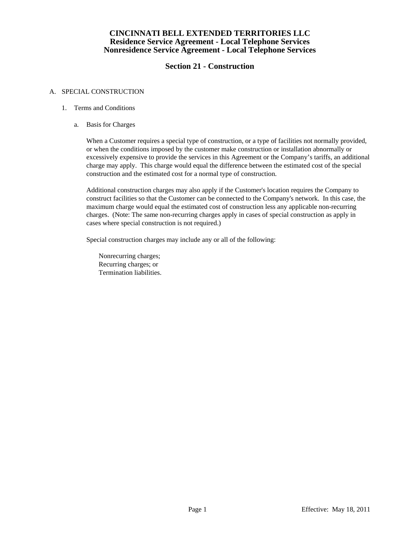# **Section 21 - Construction**

### A. SPECIAL CONSTRUCTION

### 1. Terms and Conditions

a. Basis for Charges

When a Customer requires a special type of construction, or a type of facilities not normally provided, or when the conditions imposed by the customer make construction or installation abnormally or excessively expensive to provide the services in this Agreement or the Company's tariffs, an additional charge may apply. This charge would equal the difference between the estimated cost of the special construction and the estimated cost for a normal type of construction.

 Additional construction charges may also apply if the Customer's location requires the Company to construct facilities so that the Customer can be connected to the Company's network. In this case, the maximum charge would equal the estimated cost of construction less any applicable non-recurring charges. (Note: The same non-recurring charges apply in cases of special construction as apply in cases where special construction is not required.)

Special construction charges may include any or all of the following:

 Nonrecurring charges; Recurring charges; or Termination liabilities.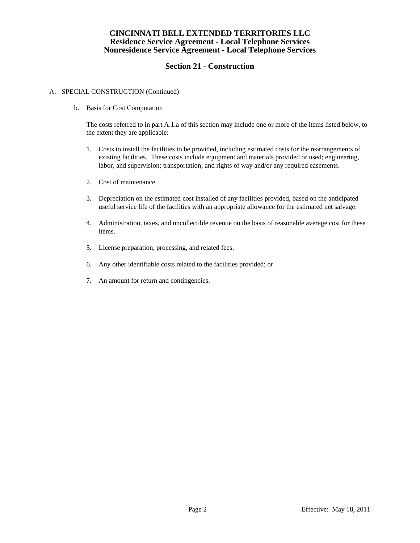# **Section 21 - Construction**

### A. SPECIAL CONSTRUCTION (Continued)

b. Basis for Cost Computation

 The costs referred to in part A.1.a of this section may include one or more of the items listed below, to the extent they are applicable:

- 1. Costs to install the facilities to be provided, including estimated costs for the rearrangements of existing facilities. These costs include equipment and materials provided or used; engineering, labor, and supervision; transportation; and rights of way and/or any required easements.
- 2. Cost of maintenance.
- 3. Depreciation on the estimated cost installed of any facilities provided, based on the anticipated useful service life of the facilities with an appropriate allowance for the estimated net salvage.
- 4. Administration, taxes, and uncollectible revenue on the basis of reasonable average cost for these items.
- 5. License preparation, processing, and related fees.
- 6. Any other identifiable costs related to the facilities provided; or
- 7. An amount for return and contingencies.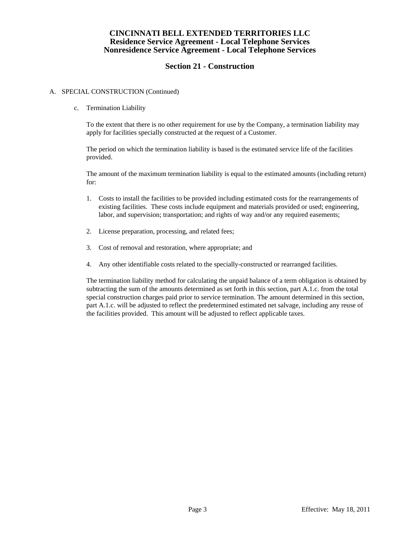# **Section 21 - Construction**

### A. SPECIAL CONSTRUCTION (Continued)

c. Termination Liability

 To the extent that there is no other requirement for use by the Company, a termination liability may apply for facilities specially constructed at the request of a Customer.

 The period on which the termination liability is based is the estimated service life of the facilities provided.

 The amount of the maximum termination liability is equal to the estimated amounts (including return) for:

- 1. Costs to install the facilities to be provided including estimated costs for the rearrangements of existing facilities. These costs include equipment and materials provided or used; engineering, labor, and supervision; transportation; and rights of way and/or any required easements;
- 2. License preparation, processing, and related fees;
- 3. Cost of removal and restoration, where appropriate; and
- 4. Any other identifiable costs related to the specially-constructed or rearranged facilities.

 The termination liability method for calculating the unpaid balance of a term obligation is obtained by subtracting the sum of the amounts determined as set forth in this section, part A.1.c. from the total special construction charges paid prior to service termination. The amount determined in this section, part A.1.c. will be adjusted to reflect the predetermined estimated net salvage, including any reuse of the facilities provided. This amount will be adjusted to reflect applicable taxes.